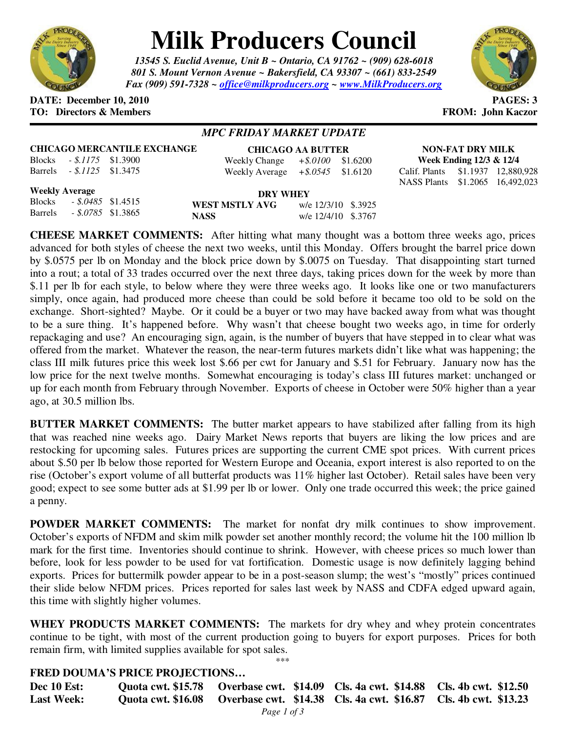

# **Milk Producers Council**

*13545 S. Euclid Avenue, Unit B ~ Ontario, CA 91762 ~ (909) 628-6018 801 S. Mount Vernon Avenue ~ Bakersfield, CA 93307 ~ (661) 833-2549 Fax (909) 591-7328 ~ office@milkproducers.org ~ www.MilkProducers.org*



#### **DATE: December 10, 2010 PAGES: 3 TO: Directors & Members FROM: John Kaczor**

Barrels *- \$.1125* \$1.3475

### *MPC FRIDAY MARKET UPDATE*

|               |                     | <b>CHICAGO MERCANTILE EXCHANGE</b> |  |
|---------------|---------------------|------------------------------------|--|
| <b>Blocks</b> | $-.5.1175$ \$1.3900 |                                    |  |

| <b>CHICAGO AA BUTTER</b> |             |          |  |  |  |
|--------------------------|-------------|----------|--|--|--|
| Weekly Change            | $+$ \$.0100 | \$1.6200 |  |  |  |
| Weekly Average           | $+$ \$.0545 | \$1.6120 |  |  |  |

**NON-FAT DRY MILK Week Ending 12/3 & 12/4**  Calif. Plants \$1.1937 12,880,928 NASS Plants \$1.2065 16,492,023

#### **Weekly Average**

| weekly Average |                           | <b>DRY WHEY</b>                       |  |  |  |
|----------------|---------------------------|---------------------------------------|--|--|--|
|                | Blocks - \$.0485 \$1.4515 | w/e 12/3/10 \$.3925<br>WEST MSTLY AVG |  |  |  |
| Barrels        | $-.8.0785$ \$1.3865       | w/e 12/4/10 \$.3767<br><b>NASS</b>    |  |  |  |

**CHEESE MARKET COMMENTS:** After hitting what many thought was a bottom three weeks ago, prices advanced for both styles of cheese the next two weeks, until this Monday. Offers brought the barrel price down by \$.0575 per lb on Monday and the block price down by \$.0075 on Tuesday. That disappointing start turned into a rout; a total of 33 trades occurred over the next three days, taking prices down for the week by more than \$.11 per lb for each style, to below where they were three weeks ago. It looks like one or two manufacturers simply, once again, had produced more cheese than could be sold before it became too old to be sold on the exchange. Short-sighted? Maybe. Or it could be a buyer or two may have backed away from what was thought to be a sure thing. It's happened before. Why wasn't that cheese bought two weeks ago, in time for orderly repackaging and use? An encouraging sign, again, is the number of buyers that have stepped in to clear what was offered from the market. Whatever the reason, the near-term futures markets didn't like what was happening; the class III milk futures price this week lost \$.66 per cwt for January and \$.51 for February. January now has the low price for the next twelve months. Somewhat encouraging is today's class III futures market: unchanged or up for each month from February through November. Exports of cheese in October were 50% higher than a year ago, at 30.5 million lbs.

**BUTTER MARKET COMMENTS:** The butter market appears to have stabilized after falling from its high that was reached nine weeks ago. Dairy Market News reports that buyers are liking the low prices and are restocking for upcoming sales. Futures prices are supporting the current CME spot prices. With current prices about \$.50 per lb below those reported for Western Europe and Oceania, export interest is also reported to on the rise (October's export volume of all butterfat products was 11% higher last October). Retail sales have been very good; expect to see some butter ads at \$1.99 per lb or lower. Only one trade occurred this week; the price gained a penny.

**POWDER MARKET COMMENTS:** The market for nonfat dry milk continues to show improvement. October's exports of NFDM and skim milk powder set another monthly record; the volume hit the 100 million lb mark for the first time. Inventories should continue to shrink. However, with cheese prices so much lower than before, look for less powder to be used for vat fortification. Domestic usage is now definitely lagging behind exports. Prices for buttermilk powder appear to be in a post-season slump; the west's "mostly" prices continued their slide below NFDM prices. Prices reported for sales last week by NASS and CDFA edged upward again, this time with slightly higher volumes.

**WHEY PRODUCTS MARKET COMMENTS:** The markets for dry whey and whey protein concentrates continue to be tight, with most of the current production going to buyers for export purposes. Prices for both remain firm, with limited supplies available for spot sales. \*\*\*

## **FRED DOUMA'S PRICE PROJECTIONS…**

| <b>Dec 10 Est:</b> | Quota cwt. \$15.78 Qverbase cwt. \$14.09 Cls. 4a cwt. \$14.88 Cls. 4b cwt. \$12.50 |  |  |  |
|--------------------|------------------------------------------------------------------------------------|--|--|--|
| <b>Last Week:</b>  | Quota cwt. \$16.08 Overbase cwt. \$14.38 Cls. 4a cwt. \$16.87 Cls. 4b cwt. \$13.23 |  |  |  |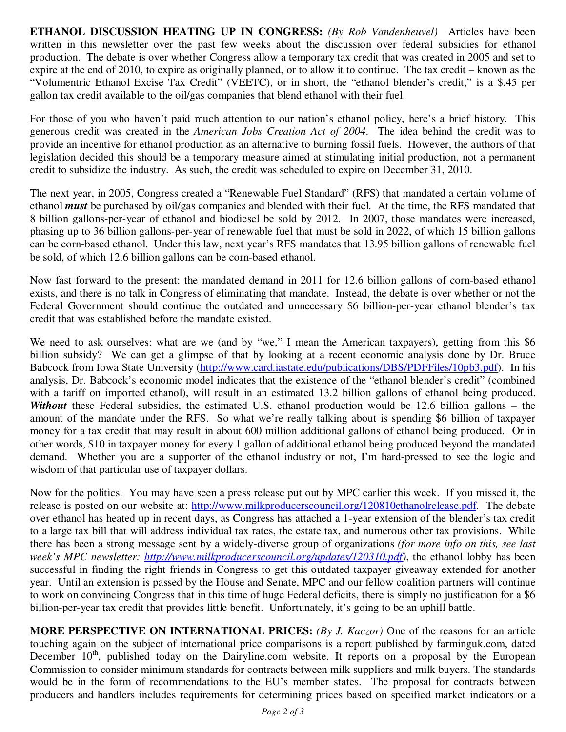**ETHANOL DISCUSSION HEATING UP IN CONGRESS:** *(By Rob Vandenheuvel)* Articles have been written in this newsletter over the past few weeks about the discussion over federal subsidies for ethanol production. The debate is over whether Congress allow a temporary tax credit that was created in 2005 and set to expire at the end of 2010, to expire as originally planned, or to allow it to continue. The tax credit – known as the "Volumentric Ethanol Excise Tax Credit" (VEETC), or in short, the "ethanol blender's credit," is a \$.45 per gallon tax credit available to the oil/gas companies that blend ethanol with their fuel.

For those of you who haven't paid much attention to our nation's ethanol policy, here's a brief history. This generous credit was created in the *American Jobs Creation Act of 2004*. The idea behind the credit was to provide an incentive for ethanol production as an alternative to burning fossil fuels. However, the authors of that legislation decided this should be a temporary measure aimed at stimulating initial production, not a permanent credit to subsidize the industry. As such, the credit was scheduled to expire on December 31, 2010.

The next year, in 2005, Congress created a "Renewable Fuel Standard" (RFS) that mandated a certain volume of ethanol *must* be purchased by oil/gas companies and blended with their fuel. At the time, the RFS mandated that 8 billion gallons-per-year of ethanol and biodiesel be sold by 2012. In 2007, those mandates were increased, phasing up to 36 billion gallons-per-year of renewable fuel that must be sold in 2022, of which 15 billion gallons can be corn-based ethanol. Under this law, next year's RFS mandates that 13.95 billion gallons of renewable fuel be sold, of which 12.6 billion gallons can be corn-based ethanol.

Now fast forward to the present: the mandated demand in 2011 for 12.6 billion gallons of corn-based ethanol exists, and there is no talk in Congress of eliminating that mandate. Instead, the debate is over whether or not the Federal Government should continue the outdated and unnecessary \$6 billion-per-year ethanol blender's tax credit that was established before the mandate existed.

We need to ask ourselves: what are we (and by "we," I mean the American taxpayers), getting from this \$6 billion subsidy? We can get a glimpse of that by looking at a recent economic analysis done by Dr. Bruce Babcock from Iowa State University (http://www.card.iastate.edu/publications/DBS/PDFFiles/10pb3.pdf). In his analysis, Dr. Babcock's economic model indicates that the existence of the "ethanol blender's credit" (combined with a tariff on imported ethanol), will result in an estimated 13.2 billion gallons of ethanol being produced. *Without* these Federal subsidies, the estimated U.S. ethanol production would be 12.6 billion gallons – the amount of the mandate under the RFS. So what we're really talking about is spending \$6 billion of taxpayer money for a tax credit that may result in about 600 million additional gallons of ethanol being produced. Or in other words, \$10 in taxpayer money for every 1 gallon of additional ethanol being produced beyond the mandated demand. Whether you are a supporter of the ethanol industry or not, I'm hard-pressed to see the logic and wisdom of that particular use of taxpayer dollars.

Now for the politics. You may have seen a press release put out by MPC earlier this week. If you missed it, the release is posted on our website at: http://www.milkproducerscouncil.org/120810ethanolrelease.pdf. The debate over ethanol has heated up in recent days, as Congress has attached a 1-year extension of the blender's tax credit to a large tax bill that will address individual tax rates, the estate tax, and numerous other tax provisions. While there has been a strong message sent by a widely-diverse group of organizations *(for more info on this, see last week's MPC newsletter: http://www.milkproducerscouncil.org/updates/120310.pdf)*, the ethanol lobby has been successful in finding the right friends in Congress to get this outdated taxpayer giveaway extended for another year. Until an extension is passed by the House and Senate, MPC and our fellow coalition partners will continue to work on convincing Congress that in this time of huge Federal deficits, there is simply no justification for a \$6 billion-per-year tax credit that provides little benefit. Unfortunately, it's going to be an uphill battle.

**MORE PERSPECTIVE ON INTERNATIONAL PRICES:** *(By J. Kaczor)* One of the reasons for an article touching again on the subject of international price comparisons is a report published by farminguk.com, dated December 10<sup>th</sup>, published today on the Dairyline.com website. It reports on a proposal by the European Commission to consider minimum standards for contracts between milk suppliers and milk buyers. The standards would be in the form of recommendations to the EU's member states. The proposal for contracts between producers and handlers includes requirements for determining prices based on specified market indicators or a